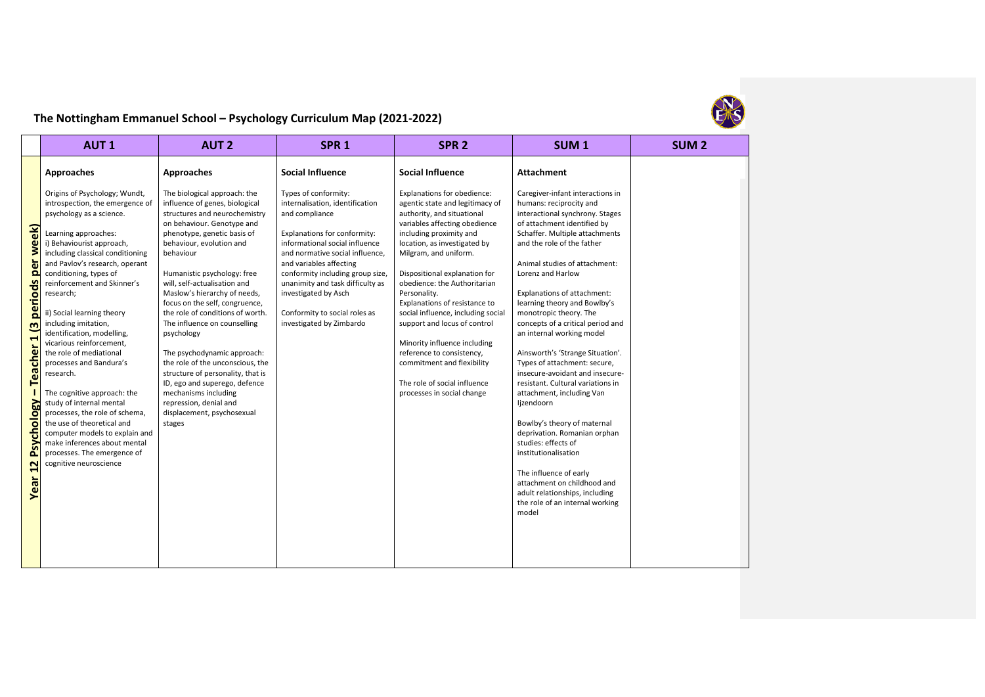

## **The Nottingham Emmanuel School – Psychology Curriculum Map (2021‐2022)**

|                                                                                                                                                                                    | <b>AUT1</b>                                                                                                                                                                                                                                                                                                                                                                                                                                                                                                                                                                                                                                                                                                                            | <b>AUT 2</b>                                                                                                                                                                                                                                                                                                                                                                                                                                                                                                                                                                                                                                                | SPR <sub>1</sub>                                                                                                                                                                                                                                                                                                                                                       | SPR <sub>2</sub>                                                                                                                                                                                                                                                                                                                                                                                                                                                                                                                                                   | SUM <sub>1</sub>                                                                                                                                                                                                                                                                                                                                                                                                                                                                                                                                                                                                                                                                                                                                                                                                                                           | SUM <sub>2</sub> |
|------------------------------------------------------------------------------------------------------------------------------------------------------------------------------------|----------------------------------------------------------------------------------------------------------------------------------------------------------------------------------------------------------------------------------------------------------------------------------------------------------------------------------------------------------------------------------------------------------------------------------------------------------------------------------------------------------------------------------------------------------------------------------------------------------------------------------------------------------------------------------------------------------------------------------------|-------------------------------------------------------------------------------------------------------------------------------------------------------------------------------------------------------------------------------------------------------------------------------------------------------------------------------------------------------------------------------------------------------------------------------------------------------------------------------------------------------------------------------------------------------------------------------------------------------------------------------------------------------------|------------------------------------------------------------------------------------------------------------------------------------------------------------------------------------------------------------------------------------------------------------------------------------------------------------------------------------------------------------------------|--------------------------------------------------------------------------------------------------------------------------------------------------------------------------------------------------------------------------------------------------------------------------------------------------------------------------------------------------------------------------------------------------------------------------------------------------------------------------------------------------------------------------------------------------------------------|------------------------------------------------------------------------------------------------------------------------------------------------------------------------------------------------------------------------------------------------------------------------------------------------------------------------------------------------------------------------------------------------------------------------------------------------------------------------------------------------------------------------------------------------------------------------------------------------------------------------------------------------------------------------------------------------------------------------------------------------------------------------------------------------------------------------------------------------------------|------------------|
|                                                                                                                                                                                    | Approaches                                                                                                                                                                                                                                                                                                                                                                                                                                                                                                                                                                                                                                                                                                                             | Approaches                                                                                                                                                                                                                                                                                                                                                                                                                                                                                                                                                                                                                                                  | <b>Social Influence</b>                                                                                                                                                                                                                                                                                                                                                | <b>Social Influence</b>                                                                                                                                                                                                                                                                                                                                                                                                                                                                                                                                            | <b>Attachment</b>                                                                                                                                                                                                                                                                                                                                                                                                                                                                                                                                                                                                                                                                                                                                                                                                                                          |                  |
| week)<br>ă<br>ō<br>periods<br>$\mathsf{m}$<br>$\blacksquare$<br>Teacher<br><b>Naolo</b> io<br>동<br>P <sub>SV</sub><br>$\mathbf{\mathsf{N}}$<br>$\blacktriangleleft$<br><b>Year</b> | Origins of Psychology; Wundt,<br>introspection, the emergence of<br>psychology as a science.<br>Learning approaches:<br>i) Behaviourist approach,<br>including classical conditioning<br>and Pavlov's research, operant<br>conditioning, types of<br>reinforcement and Skinner's<br>research;<br>ii) Social learning theory<br>including imitation,<br>identification, modelling,<br>vicarious reinforcement,<br>the role of mediational<br>processes and Bandura's<br>research.<br>The cognitive approach: the<br>study of internal mental<br>processes, the role of schema,<br>the use of theoretical and<br>computer models to explain and<br>make inferences about mental<br>processes. The emergence of<br>cognitive neuroscience | The biological approach: the<br>influence of genes, biological<br>structures and neurochemistry<br>on behaviour. Genotype and<br>phenotype, genetic basis of<br>behaviour, evolution and<br>behaviour<br>Humanistic psychology: free<br>will, self-actualisation and<br>Maslow's hierarchy of needs,<br>focus on the self, congruence,<br>the role of conditions of worth.<br>The influence on counselling<br>psychology<br>The psychodynamic approach:<br>the role of the unconscious, the<br>structure of personality, that is<br>ID, ego and superego, defence<br>mechanisms including<br>repression, denial and<br>displacement, psychosexual<br>stages | Types of conformity:<br>internalisation, identification<br>and compliance<br>Explanations for conformity:<br>informational social influence<br>and normative social influence.<br>and variables affecting<br>conformity including group size,<br>unanimity and task difficulty as<br>investigated by Asch<br>Conformity to social roles as<br>investigated by Zimbardo | Explanations for obedience:<br>agentic state and legitimacy of<br>authority, and situational<br>variables affecting obedience<br>including proximity and<br>location, as investigated by<br>Milgram, and uniform.<br>Dispositional explanation for<br>obedience: the Authoritarian<br>Personality.<br>Explanations of resistance to<br>social influence, including social<br>support and locus of control<br>Minority influence including<br>reference to consistency,<br>commitment and flexibility<br>The role of social influence<br>processes in social change | Caregiver-infant interactions in<br>humans: reciprocity and<br>interactional synchrony. Stages<br>of attachment identified by<br>Schaffer. Multiple attachments<br>and the role of the father<br>Animal studies of attachment:<br>Lorenz and Harlow<br>Explanations of attachment:<br>learning theory and Bowlby's<br>monotropic theory. The<br>concepts of a critical period and<br>an internal working model<br>Ainsworth's 'Strange Situation'.<br>Types of attachment: secure,<br>insecure-avoidant and insecure-<br>resistant. Cultural variations in<br>attachment, including Van<br>lizendoorn<br>Bowlby's theory of maternal<br>deprivation. Romanian orphan<br>studies: effects of<br>institutionalisation<br>The influence of early<br>attachment on childhood and<br>adult relationships, including<br>the role of an internal working<br>model |                  |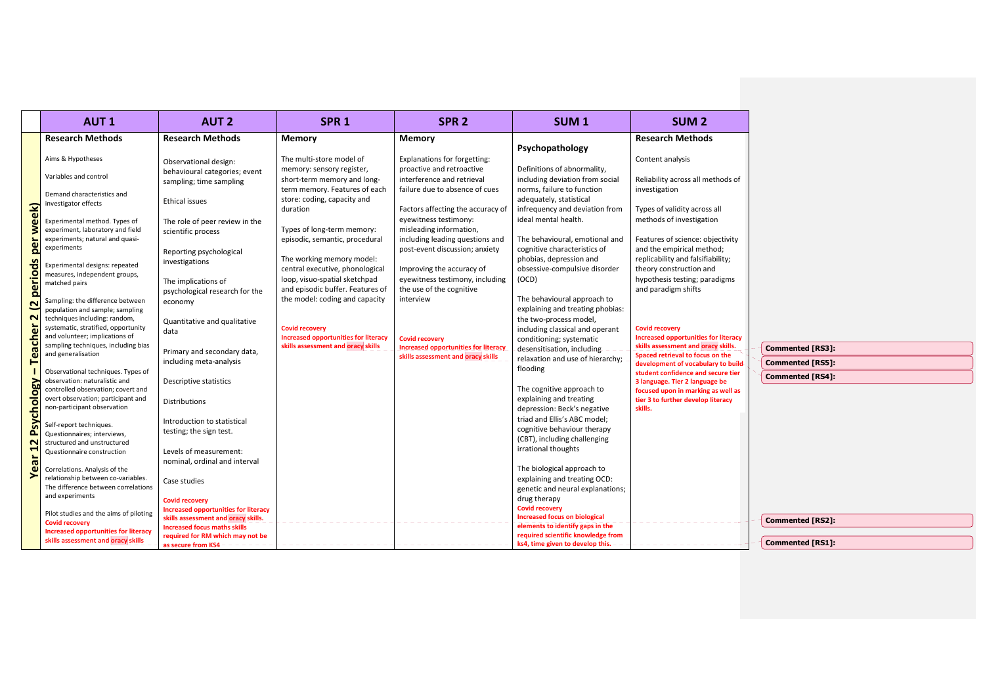|                          | <b>AUT1</b>                                                                                                  | <b>AUT 2</b>                                                               | SPR <sub>1</sub>                                                                                           | SPR <sub>2</sub>                                                     | SUM <sub>1</sub>                                                                            | SUM <sub>2</sub>                                                                                            |                                      |
|--------------------------|--------------------------------------------------------------------------------------------------------------|----------------------------------------------------------------------------|------------------------------------------------------------------------------------------------------------|----------------------------------------------------------------------|---------------------------------------------------------------------------------------------|-------------------------------------------------------------------------------------------------------------|--------------------------------------|
|                          | <b>Research Methods</b>                                                                                      | <b>Research Methods</b>                                                    | Memory                                                                                                     | Memory                                                               | Psychopathology                                                                             | <b>Research Methods</b>                                                                                     |                                      |
|                          | Aims & Hypotheses                                                                                            | Observational design:                                                      | The multi-store model of                                                                                   | Explanations for forgetting:                                         |                                                                                             | Content analysis                                                                                            |                                      |
|                          | Variables and control                                                                                        | behavioural categories; event<br>sampling; time sampling                   | memory: sensory register,<br>short-term memory and long-                                                   | proactive and retroactive<br>interference and retrieval              | Definitions of abnormality,<br>including deviation from social                              | Reliability across all methods of                                                                           |                                      |
|                          | Demand characteristics and<br>investigator effects                                                           | <b>Ethical issues</b>                                                      | term memory. Features of each<br>store: coding, capacity and<br>duration                                   | failure due to absence of cues<br>Factors affecting the accuracy of  | norms, failure to function<br>adequately, statistical<br>infrequency and deviation from     | investigation<br>Types of validity across all                                                               |                                      |
| week)                    | Experimental method. Types of<br>experiment, laboratory and field                                            | The role of peer review in the<br>scientific process                       | Types of long-term memory:                                                                                 | eyewitness testimony:<br>misleading information,                     | ideal mental health.                                                                        | methods of investigation                                                                                    |                                      |
| per                      | experiments; natural and quasi-<br>experiments                                                               | Reporting psychological                                                    | episodic, semantic, procedural                                                                             | including leading questions and<br>post-event discussion; anxiety    | The behavioural, emotional and<br>cognitive characteristics of                              | Features of science: objectivity<br>and the empirical method;                                               |                                      |
| <b>S</b>                 | Experimental designs: repeated<br>measures, independent groups,                                              | investigations                                                             | The working memory model:<br>central executive, phonological<br>loop, visuo-spatial sketchpad              | Improving the accuracy of<br>eyewitness testimony, including         | phobias, depression and<br>obsessive-compulsive disorder<br>(OCD)                           | replicability and falsifiability;<br>theory construction and<br>hypothesis testing; paradigms               |                                      |
| period                   | matched pairs<br>Sampling: the difference between                                                            | The implications of<br>psychological research for the<br>economy           | and episodic buffer. Features of<br>the model: coding and capacity                                         | the use of the cognitive<br>interview                                | The behavioural approach to                                                                 | and paradigm shifts                                                                                         |                                      |
| $\sim$<br>$\sim$         | population and sample; sampling<br>techniques including: random,                                             | Quantitative and qualitative                                               |                                                                                                            |                                                                      | explaining and treating phobias:<br>the two-process model,                                  |                                                                                                             |                                      |
| <b>Teacher</b>           | systematic, stratified, opportunity<br>and volunteer; implications of<br>sampling techniques, including bias | data                                                                       | <b>Covid recovery</b><br><b>Increased opportunities for literacy</b><br>skills assessment and oracy skills | <b>Covid recovery</b><br><b>Increased opportunities for literacy</b> | including classical and operant<br>conditioning; systematic                                 | <b>Covid recovery</b><br><b>Increased opportunities for literacy</b><br>skills assessment and oracy skills. |                                      |
|                          | and generalisation                                                                                           | Primary and secondary data,<br>including meta-analysis                     |                                                                                                            | skills assessment and oracy skills                                   | desensitisation, including<br>relaxation and use of hierarchy;                              | Spaced retrieval to focus on the<br>development of vocabulary to build-                                     | Commented [RS3]:<br>Commented [RS5]: |
|                          | Observational techniques. Types of                                                                           |                                                                            |                                                                                                            |                                                                      | flooding                                                                                    | student confidence and secure tier                                                                          | <b>Commented [RS4]:</b>              |
|                          | observation: naturalistic and<br>controlled observation; covert and                                          | Descriptive statistics                                                     |                                                                                                            |                                                                      | The cognitive approach to                                                                   | 3 language. Tier 2 language be<br>focused upon in marking as well as                                        |                                      |
| sychology                | overt observation; participant and<br>non-participant observation                                            | Distributions                                                              |                                                                                                            |                                                                      | explaining and treating<br>depression: Beck's negative                                      | tier 3 to further develop literacy<br>skills.                                                               |                                      |
| $\Delta$                 | Self-report techniques.<br>Questionnaires; interviews,                                                       | Introduction to statistical<br>testing; the sign test.                     |                                                                                                            |                                                                      | triad and Ellis's ABC model;<br>cognitive behaviour therapy<br>(CBT), including challenging |                                                                                                             |                                      |
| $\sim$<br>$\overline{a}$ | structured and unstructured<br>Questionnaire construction                                                    | Levels of measurement:<br>nominal, ordinal and interval                    |                                                                                                            |                                                                      | irrational thoughts                                                                         |                                                                                                             |                                      |
| $\mathbf{v}$             | Correlations. Analysis of the<br>relationship between co-variables.                                          | Case studies                                                               |                                                                                                            |                                                                      | The biological approach to<br>explaining and treating OCD:                                  |                                                                                                             |                                      |
|                          | The difference between correlations<br>and experiments                                                       |                                                                            |                                                                                                            |                                                                      | genetic and neural explanations;                                                            |                                                                                                             |                                      |
|                          | Pilot studies and the aims of piloting                                                                       | <b>Covid recovery</b><br><b>Increased opportunities for literacy</b>       |                                                                                                            |                                                                      | drug therapy<br><b>Covid recovery</b>                                                       |                                                                                                             |                                      |
|                          | <b>Covid recoverv</b><br><b>Increased opportunities for literacy</b>                                         | skills assessment and oracy skills.<br><b>Increased focus maths skills</b> |                                                                                                            |                                                                      | <b>Increased focus on biological</b><br>elements to identify gaps in the                    |                                                                                                             | Commented [RS2]:                     |
|                          | skills assessment and oracy skills                                                                           | required for RM which may not be<br>as secure from KS4 – – – – –           |                                                                                                            |                                                                      | required scientific knowledge from<br>ks4, time given to develop this. -                    |                                                                                                             | Commented [RS1]:                     |

π

 $\overline{\phantom{a}}$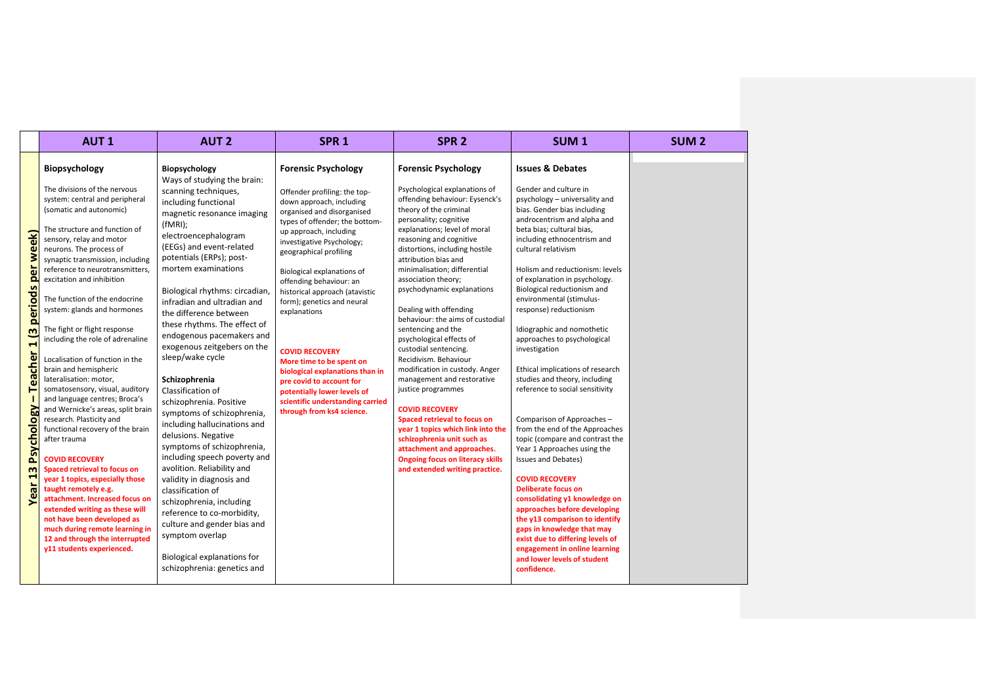|                                                                                                                                       | <b>AUT1</b>                                                                                                                                                                                                                                                                                                                                                                                                                                                                                                                                                                                                                                                                                                                                                                                                                                                                                                                                                                                                                                      | <b>AUT 2</b>                                                                                                                                                                                                                                                                                                                                                                                                                                                                                                                                                                                                                                                                                                                                                                                                                                                                                                                          | SPR <sub>1</sub>                                                                                                                                                                                                                                                                                                                                                                                                                                                                                                                                                                                     | SPR <sub>2</sub>                                                                                                                                                                                                                                                                                                                                                                                                                                                                                                                                                                                                                                                                                                                                                                                                                                           | SUM <sub>1</sub>                                                                                                                                                                                                                                                                                                                                                                                                                                                                                                                                                                                                                                                                                                                                                                                                                                                                                                                                                                                                                                         | SUM <sub>2</sub> |
|---------------------------------------------------------------------------------------------------------------------------------------|--------------------------------------------------------------------------------------------------------------------------------------------------------------------------------------------------------------------------------------------------------------------------------------------------------------------------------------------------------------------------------------------------------------------------------------------------------------------------------------------------------------------------------------------------------------------------------------------------------------------------------------------------------------------------------------------------------------------------------------------------------------------------------------------------------------------------------------------------------------------------------------------------------------------------------------------------------------------------------------------------------------------------------------------------|---------------------------------------------------------------------------------------------------------------------------------------------------------------------------------------------------------------------------------------------------------------------------------------------------------------------------------------------------------------------------------------------------------------------------------------------------------------------------------------------------------------------------------------------------------------------------------------------------------------------------------------------------------------------------------------------------------------------------------------------------------------------------------------------------------------------------------------------------------------------------------------------------------------------------------------|------------------------------------------------------------------------------------------------------------------------------------------------------------------------------------------------------------------------------------------------------------------------------------------------------------------------------------------------------------------------------------------------------------------------------------------------------------------------------------------------------------------------------------------------------------------------------------------------------|------------------------------------------------------------------------------------------------------------------------------------------------------------------------------------------------------------------------------------------------------------------------------------------------------------------------------------------------------------------------------------------------------------------------------------------------------------------------------------------------------------------------------------------------------------------------------------------------------------------------------------------------------------------------------------------------------------------------------------------------------------------------------------------------------------------------------------------------------------|----------------------------------------------------------------------------------------------------------------------------------------------------------------------------------------------------------------------------------------------------------------------------------------------------------------------------------------------------------------------------------------------------------------------------------------------------------------------------------------------------------------------------------------------------------------------------------------------------------------------------------------------------------------------------------------------------------------------------------------------------------------------------------------------------------------------------------------------------------------------------------------------------------------------------------------------------------------------------------------------------------------------------------------------------------|------------------|
| periods per week)<br>$\overline{a}$<br>$\blacksquare$<br><b>Teacher</b><br>Psychology<br>$\mathbf{m}$<br>$\blacktriangleleft$<br>Year | Biopsychology<br>The divisions of the nervous<br>system: central and peripheral<br>(somatic and autonomic)<br>The structure and function of<br>sensory, relay and motor<br>neurons. The process of<br>synaptic transmission, including<br>reference to neurotransmitters,<br>excitation and inhibition<br>The function of the endocrine<br>system: glands and hormones<br>The fight or flight response<br>including the role of adrenaline<br>Localisation of function in the<br>brain and hemispheric<br>lateralisation: motor,<br>somatosensory, visual, auditory<br>and language centres; Broca's<br>and Wernicke's areas, split brain<br>research. Plasticity and<br>functional recovery of the brain<br>after trauma<br><b>COVID RECOVERY</b><br>Spaced retrieval to focus on<br>year 1 topics, especially those<br>taught remotely e.g.<br>attachment. Increased focus on<br>extended writing as these will<br>not have been developed as<br>much during remote learning in<br>12 and through the interrupted<br>y11 students experienced. | Biopsychology<br>Ways of studying the brain:<br>scanning techniques,<br>including functional<br>magnetic resonance imaging<br>(fMRI);<br>electroencephalogram<br>(EEGs) and event-related<br>potentials (ERPs); post-<br>mortem examinations<br>Biological rhythms: circadian,<br>infradian and ultradian and<br>the difference between<br>these rhythms. The effect of<br>endogenous pacemakers and<br>exogenous zeitgebers on the<br>sleep/wake cycle<br>Schizophrenia<br>Classification of<br>schizophrenia. Positive<br>symptoms of schizophrenia,<br>including hallucinations and<br>delusions. Negative<br>symptoms of schizophrenia,<br>including speech poverty and<br>avolition. Reliability and<br>validity in diagnosis and<br>classification of<br>schizophrenia, including<br>reference to co-morbidity,<br>culture and gender bias and<br>symptom overlap<br>Biological explanations for<br>schizophrenia: genetics and | <b>Forensic Psychology</b><br>Offender profiling: the top-<br>down approach, including<br>organised and disorganised<br>types of offender; the bottom-<br>up approach, including<br>investigative Psychology;<br>geographical profiling<br>Biological explanations of<br>offending behaviour: an<br>historical approach (atavistic<br>form); genetics and neural<br>explanations<br><b>COVID RECOVERY</b><br>More time to be spent on<br>biological explanations than in<br>pre covid to account for<br>potentially lower levels of<br>scientific understanding carried<br>through from ks4 science. | <b>Forensic Psychology</b><br>Psychological explanations of<br>offending behaviour: Eysenck's<br>theory of the criminal<br>personality; cognitive<br>explanations; level of moral<br>reasoning and cognitive<br>distortions, including hostile<br>attribution bias and<br>minimalisation; differential<br>association theory;<br>psychodynamic explanations<br>Dealing with offending<br>behaviour: the aims of custodial<br>sentencing and the<br>psychological effects of<br>custodial sentencing.<br>Recidivism. Behaviour<br>modification in custody. Anger<br>management and restorative<br>justice programmes<br><b>COVID RECOVERY</b><br>Spaced retrieval to focus on<br>year 1 topics which link into the<br>schizophrenia unit such as<br>attachment and approaches.<br><b>Ongoing focus on literacy skills</b><br>and extended writing practice. | <b>Issues &amp; Debates</b><br>Gender and culture in<br>psychology - universality and<br>bias. Gender bias including<br>androcentrism and alpha and<br>beta bias; cultural bias,<br>including ethnocentrism and<br>cultural relativism<br>Holism and reductionism: levels<br>of explanation in psychology.<br>Biological reductionism and<br>environmental (stimulus-<br>response) reductionism<br>Idiographic and nomothetic<br>approaches to psychological<br>investigation<br>Ethical implications of research<br>studies and theory, including<br>reference to social sensitivity<br>Comparison of Approaches-<br>from the end of the Approaches<br>topic (compare and contrast the<br>Year 1 Approaches using the<br>Issues and Debates)<br><b>COVID RECOVERY</b><br><b>Deliberate focus on</b><br>consolidating y1 knowledge on<br>approaches before developing<br>the y13 comparison to identify<br>gaps in knowledge that may<br>exist due to differing levels of<br>engagement in online learning<br>and lower levels of student<br>confidence. |                  |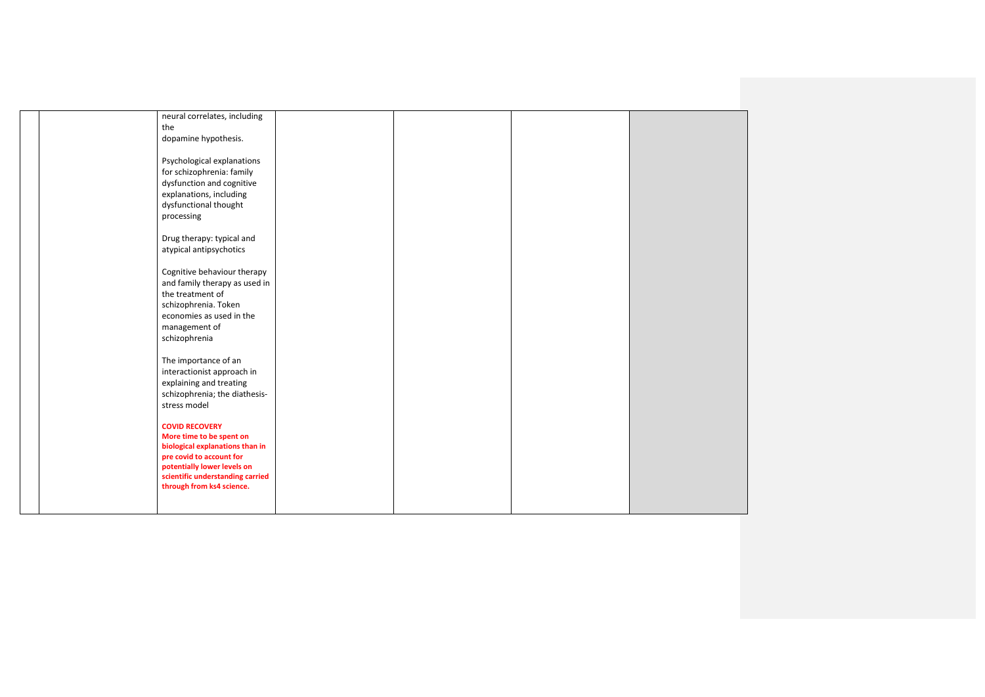|  | neural correlates, including<br>the                                                                                                      |  |  |
|--|------------------------------------------------------------------------------------------------------------------------------------------|--|--|
|  | dopamine hypothesis.                                                                                                                     |  |  |
|  | Psychological explanations<br>for schizophrenia: family<br>dysfunction and cognitive<br>explanations, including<br>dysfunctional thought |  |  |
|  | processing                                                                                                                               |  |  |
|  | Drug therapy: typical and<br>atypical antipsychotics                                                                                     |  |  |
|  | Cognitive behaviour therapy<br>and family therapy as used in<br>the treatment of<br>schizophrenia. Token<br>economies as used in the     |  |  |
|  | management of<br>schizophrenia                                                                                                           |  |  |
|  | The importance of an<br>interactionist approach in<br>explaining and treating<br>schizophrenia; the diathesis-<br>stress model           |  |  |
|  | <b>COVID RECOVERY</b><br>More time to be spent on<br>biological explanations than in                                                     |  |  |
|  | pre covid to account for<br>potentially lower levels on<br>scientific understanding carried<br>through from ks4 science.                 |  |  |
|  |                                                                                                                                          |  |  |